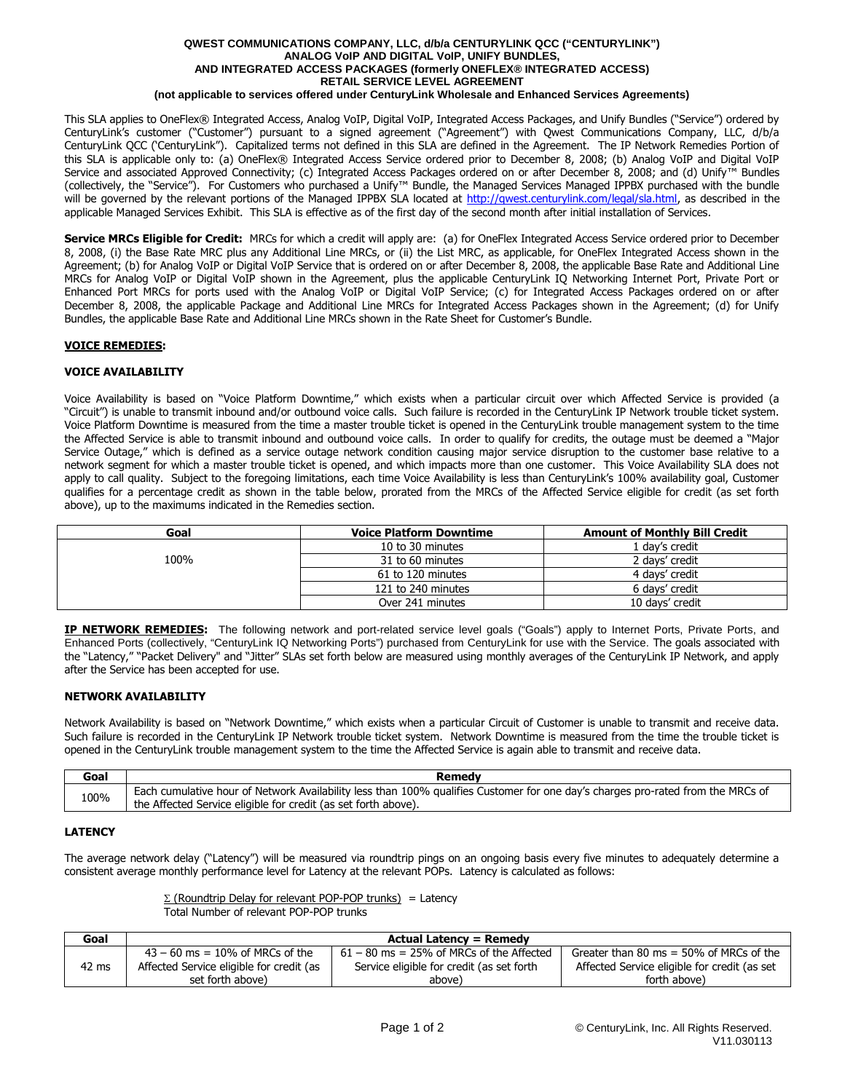#### **QWEST COMMUNICATIONS COMPANY, LLC, d/b/a CENTURYLINK QCC ("CENTURYLINK") ANALOG VoIP AND DIGITAL VoIP, UNIFY BUNDLES, AND INTEGRATED ACCESS PACKAGES (formerly ONEFLEX® INTEGRATED ACCESS) RETAIL SERVICE LEVEL AGREEMENT (not applicable to services offered under CenturyLink Wholesale and Enhanced Services Agreements)**

This SLA applies to OneFlex® Integrated Access, Analog VoIP, Digital VoIP, Integrated Access Packages, and Unify Bundles ("Service") ordered by CenturyLink's customer ("Customer") pursuant to a signed agreement ("Agreement") with Qwest Communications Company, LLC, d/b/a CenturyLink QCC ('CenturyLink"). Capitalized terms not defined in this SLA are defined in the Agreement. The IP Network Remedies Portion of this SLA is applicable only to: (a) OneFlex® Integrated Access Service ordered prior to December 8, 2008; (b) Analog VoIP and Digital VoIP Service and associated Approved Connectivity; (c) Integrated Access Packages ordered on or after December 8, 2008; and (d) Unify™ Bundles (collectively, the "Service"). For Customers who purchased a Unify™ Bundle, the Managed Services Managed IPPBX purchased with the bundle will be governed by the relevant portions of the Managed IPPBX SLA located at http://gwest.centurylink.com/legal/sla.html, as described in the applicable Managed Services Exhibit. This SLA is effective as of the first day of the second month after initial installation of Services.

**Service MRCs Eligible for Credit:** MRCs for which a credit will apply are: (a) for OneFlex Integrated Access Service ordered prior to December 8, 2008, (i) the Base Rate MRC plus any Additional Line MRCs, or (ii) the List MRC, as applicable, for OneFlex Integrated Access shown in the Agreement; (b) for Analog VoIP or Digital VoIP Service that is ordered on or after December 8, 2008, the applicable Base Rate and Additional Line MRCs for Analog VoIP or Digital VoIP shown in the Agreement, plus the applicable CenturyLink IQ Networking Internet Port, Private Port or Enhanced Port MRCs for ports used with the Analog VoIP or Digital VoIP Service; (c) for Integrated Access Packages ordered on or after December 8, 2008, the applicable Package and Additional Line MRCs for Integrated Access Packages shown in the Agreement; (d) for Unify Bundles, the applicable Base Rate and Additional Line MRCs shown in the Rate Sheet for Customer's Bundle.

## **VOICE REMEDIES:**

## **VOICE AVAILABILITY**

Voice Availability is based on "Voice Platform Downtime," which exists when a particular circuit over which Affected Service is provided (a "Circuit") is unable to transmit inbound and/or outbound voice calls. Such failure is recorded in the CenturyLink IP Network trouble ticket system. Voice Platform Downtime is measured from the time a master trouble ticket is opened in the CenturyLink trouble management system to the time the Affected Service is able to transmit inbound and outbound voice calls. In order to qualify for credits, the outage must be deemed a "Major Service Outage," which is defined as a service outage network condition causing major service disruption to the customer base relative to a network segment for which a master trouble ticket is opened, and which impacts more than one customer. This Voice Availability SLA does not apply to call quality. Subject to the foregoing limitations, each time Voice Availability is less than CenturyLink's 100% availability goal, Customer qualifies for a percentage credit as shown in the table below, prorated from the MRCs of the Affected Service eligible for credit (as set forth above), up to the maximums indicated in the Remedies section.

| Goal | <b>Voice Platform Downtime</b> | <b>Amount of Monthly Bill Credit</b> |
|------|--------------------------------|--------------------------------------|
|      | 10 to 30 minutes               | 1 day's credit                       |
| 100% | 31 to 60 minutes               | 2 days' credit                       |
|      | 61 to 120 minutes              | 4 days' credit                       |
|      | 121 to 240 minutes             | 6 days' credit                       |
|      | Over 241 minutes               | 10 days' credit                      |

**IP NETWORK REMEDIES:** The following network and port-related service level goals ("Goals") apply to Internet Ports, Private Ports, and Enhanced Ports (collectively, "CenturyLink IQ Networking Ports") purchased from CenturyLink for use with the Service. The goals associated with the "Latency," "Packet Delivery" and "Jitter" SLAs set forth below are measured using monthly averages of the CenturyLink IP Network, and apply after the Service has been accepted for use.

### **NETWORK AVAILABILITY**

Network Availability is based on "Network Downtime," which exists when a particular Circuit of Customer is unable to transmit and receive data. Such failure is recorded in the CenturyLink IP Network trouble ticket system. Network Downtime is measured from the time the trouble ticket is opened in the CenturyLink trouble management system to the time the Affected Service is again able to transmit and receive data.

| Goal | Remedv                                                                                                                          |
|------|---------------------------------------------------------------------------------------------------------------------------------|
| 100% | Each cumulative hour of Network Availability less than 100% qualifies Customer for one day's charges pro-rated from the MRCs of |
|      | the Affected Service eligible for credit (as set forth above).                                                                  |

# **LATENCY**

The average network delay ("Latency") will be measured via roundtrip pings on an ongoing basis every five minutes to adequately determine a consistent average monthly performance level for Latency at the relevant POPs. Latency is calculated as follows:

|                                         |  |  | $\Sigma$ (Roundtrip Delay for relevant POP-POP trunks) = Latency |  |
|-----------------------------------------|--|--|------------------------------------------------------------------|--|
| Total Number of relevant POP-POP trunks |  |  |                                                                  |  |

| Goal            | <b>Actual Latency = Remedy</b>           |                                            |                                              |  |
|-----------------|------------------------------------------|--------------------------------------------|----------------------------------------------|--|
|                 | $43 - 60$ ms = 10% of MRCs of the        | $61 - 80$ ms = 25% of MRCs of the Affected | Greater than 80 ms $=$ 50% of MRCs of the    |  |
| $42 \text{ ms}$ | Affected Service eligible for credit (as | Service eligible for credit (as set forth  | Affected Service eligible for credit (as set |  |
|                 | set forth above)                         | above)                                     | forth above)                                 |  |